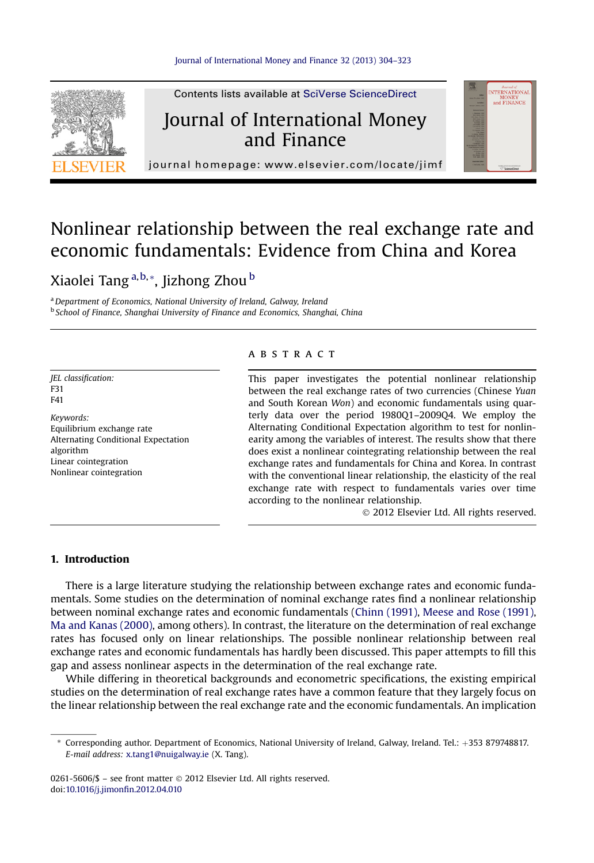

Contents lists available at SciVerse ScienceDirect

### Journal of International Money and Finance



journal homepage:<www.elsevier.com/locate/jimf>

## Nonlinear relationship between the real exchange rate and economic fundamentals: Evidence from China and Korea

### Xiaolei Tang a,b,\*, Jizhong Zhou <sup>b</sup>

<sup>a</sup> Department of Economics, National University of Ireland, Galway, Ireland <sup>b</sup> School of Finance, Shanghai University of Finance and Economics, Shanghai, China

JEL classification: F31 F41

Keywords: Equilibrium exchange rate Alternating Conditional Expectation algorithm Linear cointegration Nonlinear cointegration

#### **ABSTRACT**

This paper investigates the potential nonlinear relationship between the real exchange rates of two currencies (Chinese Yuan and South Korean Won) and economic fundamentals using quarterly data over the period 1980Q1–2009Q4. We employ the Alternating Conditional Expectation algorithm to test for nonlinearity among the variables of interest. The results show that there does exist a nonlinear cointegrating relationship between the real exchange rates and fundamentals for China and Korea. In contrast with the conventional linear relationship, the elasticity of the real exchange rate with respect to fundamentals varies over time according to the nonlinear relationship.

2012 Elsevier Ltd. All rights reserved.

#### 1. Introduction

There is a large literature studying the relationship between exchange rates and economic fundamentals. Some studies on the determination of nominal exchange rates find a nonlinear relationship between nominal exchange rates and economic fundamentals ([Chinn \(1991\),](#page--1-0) [Meese and Rose \(1991\),](#page--1-0) [Ma and Kanas \(2000\)](#page--1-0), among others). In contrast, the literature on the determination of real exchange rates has focused only on linear relationships. The possible nonlinear relationship between real exchange rates and economic fundamentals has hardly been discussed. This paper attempts to fill this gap and assess nonlinear aspects in the determination of the real exchange rate.

While differing in theoretical backgrounds and econometric specifications, the existing empirical studies on the determination of real exchange rates have a common feature that they largely focus on the linear relationship between the real exchange rate and the economic fundamentals. An implication

0261-5606/\$ - see front matter © 2012 Elsevier Ltd. All rights reserved. doi:[10.1016/j.jimon](http://dx.doi.org/10.1016/j.jimonfin.2012.04.010)fin.2012.04.010

<sup>\*</sup> Corresponding author. Department of Economics, National University of Ireland, Galway, Ireland. Tel.: þ353 879748817. E-mail address: [x.tang1@nuigalway.ie](mailto:x.tang1@nuigalway.ie) (X. Tang).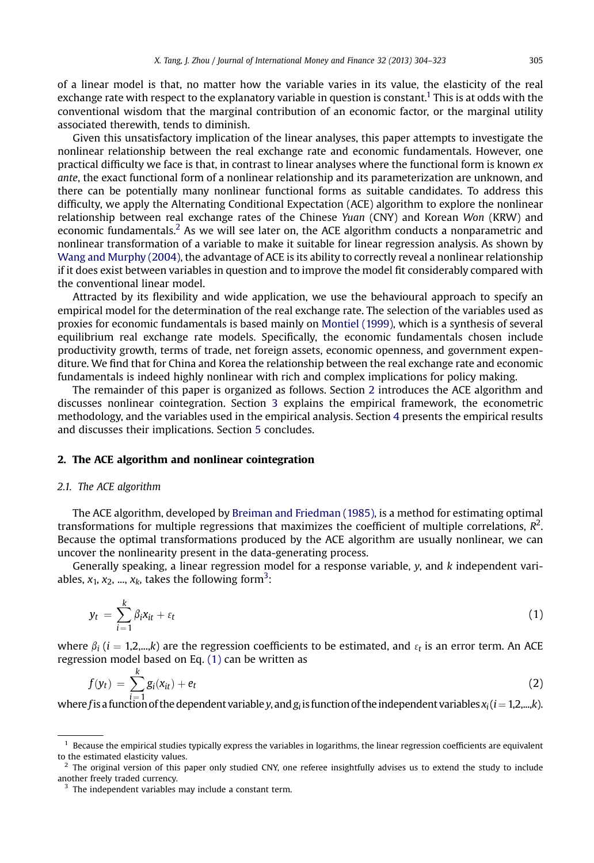of a linear model is that, no matter how the variable varies in its value, the elasticity of the real exchange rate with respect to the explanatory variable in question is constant.<sup>1</sup> This is at odds with the conventional wisdom that the marginal contribution of an economic factor, or the marginal utility associated therewith, tends to diminish.

Given this unsatisfactory implication of the linear analyses, this paper attempts to investigate the nonlinear relationship between the real exchange rate and economic fundamentals. However, one practical difficulty we face is that, in contrast to linear analyses where the functional form is known  $ex$ ante, the exact functional form of a nonlinear relationship and its parameterization are unknown, and there can be potentially many nonlinear functional forms as suitable candidates. To address this difficulty, we apply the Alternating Conditional Expectation (ACE) algorithm to explore the nonlinear relationship between real exchange rates of the Chinese Yuan (CNY) and Korean Won (KRW) and economic fundamentals.2 As we will see later on, the ACE algorithm conducts a nonparametric and nonlinear transformation of a variable to make it suitable for linear regression analysis. As shown by [Wang and Murphy \(2004\)](#page--1-0), the advantage of ACE is its ability to correctly reveal a nonlinear relationship if it does exist between variables in question and to improve the model fit considerably compared with the conventional linear model.

Attracted by its flexibility and wide application, we use the behavioural approach to specify an empirical model for the determination of the real exchange rate. The selection of the variables used as proxies for economic fundamentals is based mainly on [Montiel \(1999\),](#page--1-0) which is a synthesis of several equilibrium real exchange rate models. Specifically, the economic fundamentals chosen include productivity growth, terms of trade, net foreign assets, economic openness, and government expenditure. We find that for China and Korea the relationship between the real exchange rate and economic fundamentals is indeed highly nonlinear with rich and complex implications for policy making.

The remainder of this paper is organized as follows. Section 2 introduces the ACE algorithm and discusses nonlinear cointegration. Section [3](#page--1-0) explains the empirical framework, the econometric methodology, and the variables used in the empirical analysis. Section [4](#page--1-0) presents the empirical results and discusses their implications. Section [5](#page--1-0) concludes.

#### 2. The ACE algorithm and nonlinear cointegration

#### 2.1. The ACE algorithm

The ACE algorithm, developed by [Breiman and Friedman \(1985\),](#page--1-0) is a method for estimating optimal transformations for multiple regressions that maximizes the coefficient of multiple correlations,  $R^2$ . Because the optimal transformations produced by the ACE algorithm are usually nonlinear, we can uncover the nonlinearity present in the data-generating process.

Generally speaking, a linear regression model for a response variable,  $y$ , and  $k$  independent variables,  $x_1, x_2, ..., x_k$ , takes the following form<sup>3</sup>:

$$
y_t = \sum_{i=1}^k \beta_i x_{it} + \varepsilon_t \tag{1}
$$

where  $\beta_i$  (i = 1,2,...,k) are the regression coefficients to be estimated, and  $\varepsilon_t$  is an error term. An ACE regression model based on Eq. (1) can be written as

$$
f(y_t) = \sum_{i=1}^k g_i(x_{it}) + e_t \tag{2}
$$

where f is a function of the dependent variable y, and  $g_i$  is function of the independent variables  $x_i$  ( $i=1,2,...,k$ ).

 $<sup>1</sup>$  Because the empirical studies typically express the variables in logarithms, the linear regression coefficients are equivalent</sup> to the estimated elasticity values.

<sup>&</sup>lt;sup>2</sup> The original version of this paper only studied CNY, one referee insightfully advises us to extend the study to include another freely traded currency.

<sup>&</sup>lt;sup>3</sup> The independent variables may include a constant term.